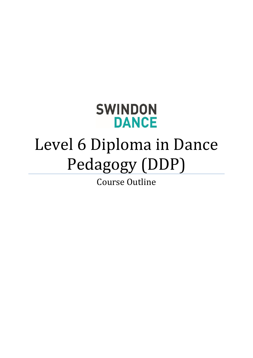# **SWINDON DANCE**

# Level 6 Diploma in Dance Pedagogy (DDP)

Course Outline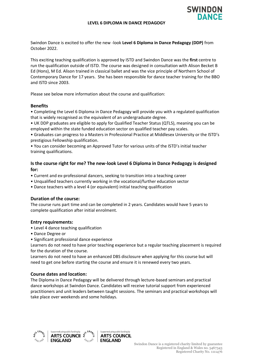

Swindon Dance is excited to offer the new -look **Level 6 Diploma in Dance Pedagogy (DDP)** from October 2022.

This exciting teaching qualification is approved by ISTD and Swindon Dance was the **first** centre to run the qualification outside of ISTD. The course was designed in consultation with Alison Becket B Ed (Hons), M Ed. Alison trained in classical ballet and was the vice principle of Northern School of Contemporary Dance for 17 years. She has been responsible for dance teacher training for the BBO and ISTD since 2003.

Please see below more information about the course and qualification:

#### **Benefits**

• Completing the Level 6 Diploma in Dance Pedagogy will provide you with a regulated qualification that is widely recognised as the equivalent of an undergraduate degree.

• UK DDP graduates are eligible to apply for Qualified Teacher Status (QTLS), meaning you can be employed within the state funded education sector on qualified teacher pay scales.

• Graduates can progress to a Masters in Professional Practice at Middlesex University or the ISTD's prestigious Fellowship qualification.

• You can consider becoming an Approved Tutor for various units of the ISTD's initial teacher training qualifications.

# **Is the course right for me? The new-look Level 6 Diploma in Dance Pedagogy is designed for:**

- Current and ex-professional dancers, seeking to transition into a teaching career
- Unqualified teachers currently working in the vocational/further education sector
- Dance teachers with a level 4 (or equivalent) initial teaching qualification

#### **Duration of the course:**

The course runs part time and can be completed in 2 years. Candidates would have 5 years to complete qualification after initial enrolment.

#### **Entry requirements:**

- Level 4 dance teaching qualification
- Dance Degree or
- Significant professional dance experience

Learners do not need to have prior teaching experience but a regular teaching placement is required for the duration of the course.

Learners do not need to have an enhanced DBS disclosure when applying for this course but will need to get one before starting the course and ensure it is renewed every two years.

#### **Course dates and location:**

The Diploma in Dance Pedagogy will be delivered through lecture-based seminars and practical dance workshops at Swindon Dance. Candidates will receive tutorial support from experienced practitioners and unit leaders between taught sessions. The seminars and practical workshops will take place over weekends and some holidays.





Supported using public funding b **ARTS COUNCIL ENGLAND**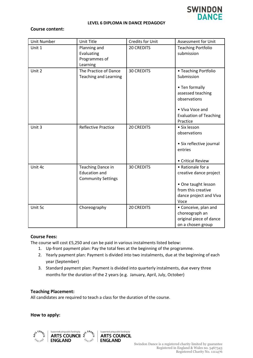

#### **LEVEL 6 DIPLOMA IN DANCE PEDAGOGY**

# **Course content:**

| <b>Unit Number</b> | <b>Unit Title</b>                                                      | <b>Credits for Unit</b> | Assessment for Unit                                                                                                                                       |
|--------------------|------------------------------------------------------------------------|-------------------------|-----------------------------------------------------------------------------------------------------------------------------------------------------------|
| Unit 1             | Planning and<br>Evaluating<br>Programmes of<br>Learning                | <b>20 CREDITS</b>       | <b>Teaching Portfolio</b><br>submission                                                                                                                   |
| Unit 2             | The Practice of Dance<br><b>Teaching and Learning</b>                  | <b>30 CREDITS</b>       | • Teaching Portfolio<br>Submission<br>• Ten formally<br>assessed teaching<br>observations<br>• Viva Voce and<br><b>Evaluation of Teaching</b><br>Practice |
| Unit 3             | <b>Reflective Practice</b>                                             | <b>20 CREDITS</b>       | • Six lesson<br>observations<br>• Six reflective journal<br>entries<br>• Critical Review                                                                  |
| Unit 4c            | Teaching Dance in<br><b>Education and</b><br><b>Community Settings</b> | <b>30 CREDITS</b>       | • Rationale for a<br>creative dance project<br>• One taught lesson<br>from this creative<br>dance project and Viva<br>Voce                                |
| Unit 5c            | Choreography                                                           | <b>20 CREDITS</b>       | • Conceive, plan and<br>choreograph an<br>original piece of dance<br>on a chosen group                                                                    |

#### **Course Fees:**

The course will cost £5,250 and can be paid in various instalments listed below:

- 1. Up-front payment plan: Pay the total fees at the beginning of the programme.
- 2. Yearly payment plan: Payment is divided into two instalments, due at the beginning of each year (September)
- 3. Standard payment plan: Payment is divided into quarterly instalments, due every three months for the duration of the 2 years (e.g. January, April, July, October)

## **Teaching Placement:**

All candidates are required to teach a class for the duration of the course.

#### **How to apply:**